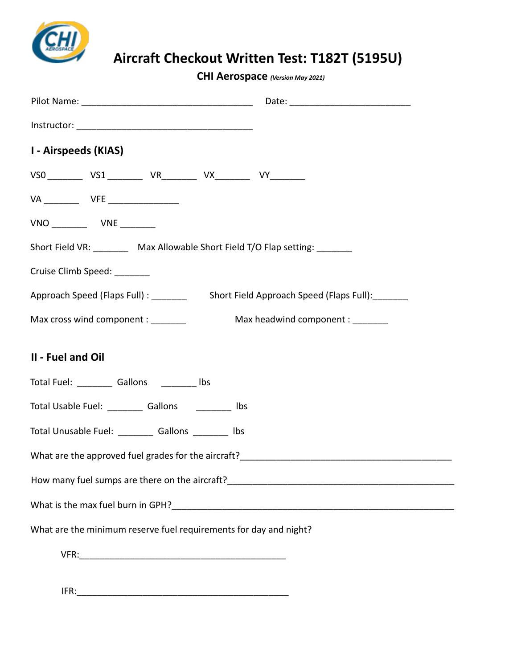

**CHI Aerospace** *(Version May 2021)*

| I - Airspeeds (KIAS)                                                                                                                                                                                                                   |  |  |  |                                                                  |  |  |
|----------------------------------------------------------------------------------------------------------------------------------------------------------------------------------------------------------------------------------------|--|--|--|------------------------------------------------------------------|--|--|
|                                                                                                                                                                                                                                        |  |  |  | VS0 _________ VS1 __________ VR_________ VX_________ VY_________ |  |  |
|                                                                                                                                                                                                                                        |  |  |  |                                                                  |  |  |
| VNO ___________  VNE _________                                                                                                                                                                                                         |  |  |  |                                                                  |  |  |
| Short Field VR: _________ Max Allowable Short Field T/O Flap setting: ________                                                                                                                                                         |  |  |  |                                                                  |  |  |
| Cruise Climb Speed: _______                                                                                                                                                                                                            |  |  |  |                                                                  |  |  |
|                                                                                                                                                                                                                                        |  |  |  |                                                                  |  |  |
| Max cross wind component : _______<br>Max headwind component : _______                                                                                                                                                                 |  |  |  |                                                                  |  |  |
| II - Fuel and Oil                                                                                                                                                                                                                      |  |  |  |                                                                  |  |  |
| Total Fuel: ___________ Gallons ___________ lbs                                                                                                                                                                                        |  |  |  |                                                                  |  |  |
| Total Usable Fuel: ___________ Gallons ____________ lbs                                                                                                                                                                                |  |  |  |                                                                  |  |  |
| Total Unusable Fuel: ___________ Gallons _________ lbs                                                                                                                                                                                 |  |  |  |                                                                  |  |  |
|                                                                                                                                                                                                                                        |  |  |  |                                                                  |  |  |
| How many fuel sumps are there on the aircraft?<br><u>Letter and the summer control of the summer control of the summer control of the summer control of the summer control of the summer control of the summer control of the summ</u> |  |  |  |                                                                  |  |  |
|                                                                                                                                                                                                                                        |  |  |  |                                                                  |  |  |
| What are the minimum reserve fuel requirements for day and night?                                                                                                                                                                      |  |  |  |                                                                  |  |  |
|                                                                                                                                                                                                                                        |  |  |  |                                                                  |  |  |

IFR:\_\_\_\_\_\_\_\_\_\_\_\_\_\_\_\_\_\_\_\_\_\_\_\_\_\_\_\_\_\_\_\_\_\_\_\_\_\_\_\_\_\_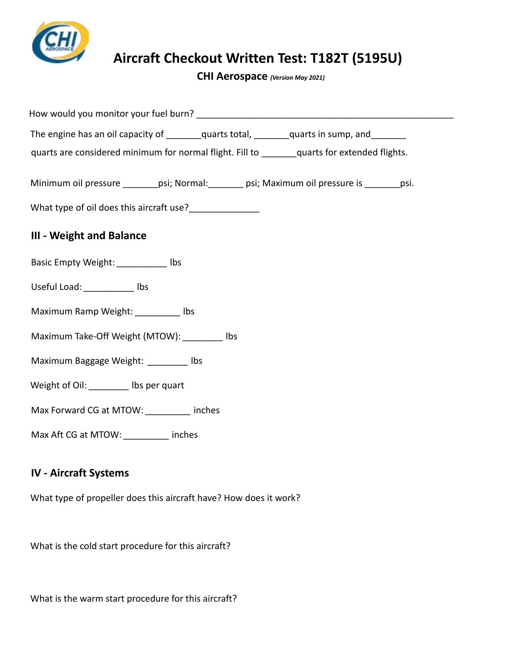

**CHI Aerospace** *(Version May 2021)*

| The engine has an oil capacity of ________quarts total, _______quarts in sump, and ________   |  |  |  |  |  |  |
|-----------------------------------------------------------------------------------------------|--|--|--|--|--|--|
| quarts are considered minimum for normal flight. Fill to _______ quarts for extended flights. |  |  |  |  |  |  |
|                                                                                               |  |  |  |  |  |  |
| Minimum oil pressure ________psi; Normal: _______ psi; Maximum oil pressure is _______psi.    |  |  |  |  |  |  |
|                                                                                               |  |  |  |  |  |  |
| <b>III - Weight and Balance</b>                                                               |  |  |  |  |  |  |
| Basic Empty Weight: ____________ Ibs                                                          |  |  |  |  |  |  |
| Useful Load: ___________ lbs                                                                  |  |  |  |  |  |  |
| Maximum Ramp Weight: _________ Ibs                                                            |  |  |  |  |  |  |
| Maximum Take-Off Weight (MTOW): lbs                                                           |  |  |  |  |  |  |
| Maximum Baggage Weight: ________ lbs                                                          |  |  |  |  |  |  |
| Weight of Oil: _________ Ibs per quart                                                        |  |  |  |  |  |  |
| Max Forward CG at MTOW: _________ inches                                                      |  |  |  |  |  |  |
| Max Aft CG at MTOW: __________ inches                                                         |  |  |  |  |  |  |
|                                                                                               |  |  |  |  |  |  |

## **IV - Aircraft Systems**

What type of propeller does this aircraft have? How does it work?

What is the cold start procedure for this aircraft?

What is the warm start procedure for this aircraft?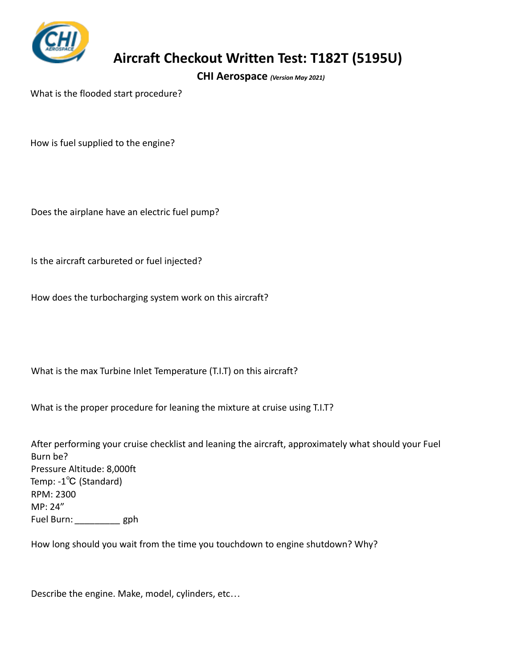

**CHI Aerospace** *(Version May 2021)*

What is the flooded start procedure?

How is fuel supplied to the engine?

Does the airplane have an electric fuel pump?

Is the aircraft carbureted or fuel injected?

How does the turbocharging system work on this aircraft?

What is the max Turbine Inlet Temperature (T.I.T) on this aircraft?

What is the proper procedure for leaning the mixture at cruise using T.I.T?

After performing your cruise checklist and leaning the aircraft, approximately what should your Fuel Burn be? Pressure Altitude: 8,000ft Temp: -1℃ (Standard) RPM: 2300 MP: 24" Fuel Burn: *\_\_\_\_\_\_\_\_\_* gph

How long should you wait from the time you touchdown to engine shutdown? Why?

Describe the engine. Make, model, cylinders, etc…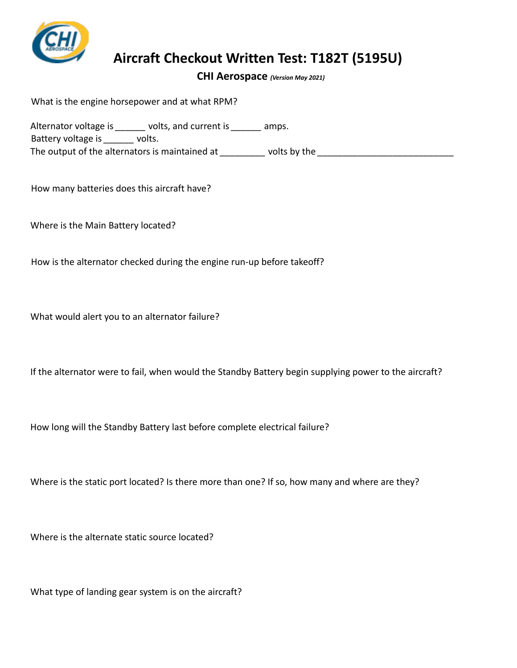

**CHI Aerospace** *(Version May 2021)*

What is the engine horsepower and at what RPM?

Alternator voltage is *\_\_\_\_\_\_* volts, and current is *\_\_\_\_\_\_* amps. Battery voltage is *\_\_\_\_\_\_* volts. The output of the alternators is maintained at *zume volts by the particular* volts by the *zume output* of the *zume output* of the *zume output* of the *zume output* of the *zume output* of the *zume output* of the

How many batteries does this aircraft have?

Where is the Main Battery located?

How is the alternator checked during the engine run-up before takeoff?

What would alert you to an alternator failure?

If the alternator were to fail, when would the Standby Battery begin supplying power to the aircraft?

How long will the Standby Battery last before complete electrical failure?

Where is the static port located? Is there more than one? If so, how many and where are they?

Where is the alternate static source located?

What type of landing gear system is on the aircraft?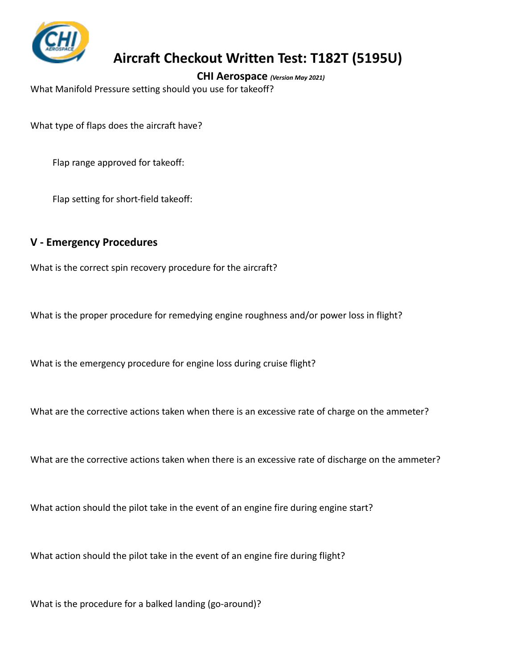

**CHI Aerospace** *(Version May 2021)*

What Manifold Pressure setting should you use for takeoff?

What type of flaps does the aircraft have?

Flap range approved for takeoff:

Flap setting for short-field takeoff:

#### **V - Emergency Procedures**

What is the correct spin recovery procedure for the aircraft?

What is the proper procedure for remedying engine roughness and/or power loss in flight?

What is the emergency procedure for engine loss during cruise flight?

What are the corrective actions taken when there is an excessive rate of charge on the ammeter?

What are the corrective actions taken when there is an excessive rate of discharge on the ammeter?

What action should the pilot take in the event of an engine fire during engine start?

What action should the pilot take in the event of an engine fire during flight?

What is the procedure for a balked landing (go-around)?